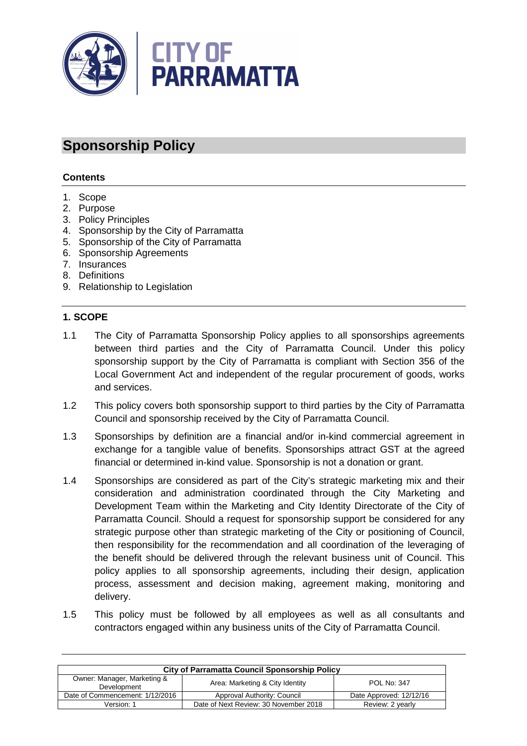

# **Sponsorship Policy**

## **Contents**

- 1. Scope
- 2. Purpose
- 3. Policy Principles
- 4. Sponsorship by the City of Parramatta
- 5. Sponsorship of the City of Parramatta
- 6. Sponsorship Agreements
- 7. Insurances
- 8. Definitions
- 9. Relationship to Legislation

#### **1. SCOPE**

- 1.1 The City of Parramatta Sponsorship Policy applies to all sponsorships agreements between third parties and the City of Parramatta Council. Under this policy sponsorship support by the City of Parramatta is compliant with Section 356 of the Local Government Act and independent of the regular procurement of goods, works and services.
- 1.2 This policy covers both sponsorship support to third parties by the City of Parramatta Council and sponsorship received by the City of Parramatta Council.
- 1.3 Sponsorships by definition are a financial and/or in-kind commercial agreement in exchange for a tangible value of benefits. Sponsorships attract GST at the agreed financial or determined in-kind value. Sponsorship is not a donation or grant.
- 1.4 Sponsorships are considered as part of the City's strategic marketing mix and their consideration and administration coordinated through the City Marketing and Development Team within the Marketing and City Identity Directorate of the City of Parramatta Council. Should a request for sponsorship support be considered for any strategic purpose other than strategic marketing of the City or positioning of Council, then responsibility for the recommendation and all coordination of the leveraging of the benefit should be delivered through the relevant business unit of Council. This policy applies to all sponsorship agreements, including their design, application process, assessment and decision making, agreement making, monitoring and delivery.
- 1.5 This policy must be followed by all employees as well as all consultants and contractors engaged within any business units of the City of Parramatta Council.

| <b>City of Parramatta Council Sponsorship Policy</b> |                                       |                         |  |
|------------------------------------------------------|---------------------------------------|-------------------------|--|
| Owner: Manager, Marketing &<br>Development           | Area: Marketing & City Identity       | POL No: 347             |  |
| Date of Commencement: 1/12/2016                      | Approval Authority: Council           | Date Approved: 12/12/16 |  |
| Version: 1                                           | Date of Next Review: 30 November 2018 | Review: 2 yearly        |  |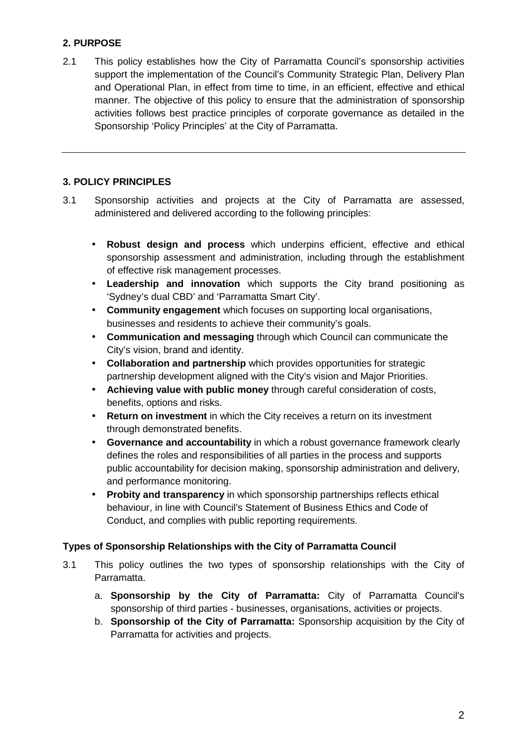# **2. PURPOSE**

2.1 This policy establishes how the City of Parramatta Council's sponsorship activities support the implementation of the Council's Community Strategic Plan, Delivery Plan and Operational Plan, in effect from time to time, in an efficient, effective and ethical manner. The objective of this policy to ensure that the administration of sponsorship activities follows best practice principles of corporate governance as detailed in the Sponsorship 'Policy Principles' at the City of Parramatta.

## **3. POLICY PRINCIPLES**

- 3.1 Sponsorship activities and projects at the City of Parramatta are assessed, administered and delivered according to the following principles:
	- **Robust design and process** which underpins efficient, effective and ethical sponsorship assessment and administration, including through the establishment of effective risk management processes.
	- **Leadership and innovation** which supports the City brand positioning as 'Sydney's dual CBD' and 'Parramatta Smart City'.
	- **Community engagement** which focuses on supporting local organisations, businesses and residents to achieve their community's goals.
	- **Communication and messaging** through which Council can communicate the City's vision, brand and identity.
	- **Collaboration and partnership** which provides opportunities for strategic partnership development aligned with the City's vision and Major Priorities.
	- **Achieving value with public money** through careful consideration of costs, benefits, options and risks.
	- **Return on investment** in which the City receives a return on its investment through demonstrated benefits.
	- **Governance and accountability** in which a robust governance framework clearly defines the roles and responsibilities of all parties in the process and supports public accountability for decision making, sponsorship administration and delivery, and performance monitoring.
	- **Probity and transparency** in which sponsorship partnerships reflects ethical behaviour, in line with Council's Statement of Business Ethics and Code of Conduct, and complies with public reporting requirements.

## **Types of Sponsorship Relationships with the City of Parramatta Council**

- 3.1 This policy outlines the two types of sponsorship relationships with the City of Parramatta.
	- a. **Sponsorship by the City of Parramatta:** City of Parramatta Council's sponsorship of third parties - businesses, organisations, activities or projects.
	- b. **Sponsorship of the City of Parramatta:** Sponsorship acquisition by the City of Parramatta for activities and projects.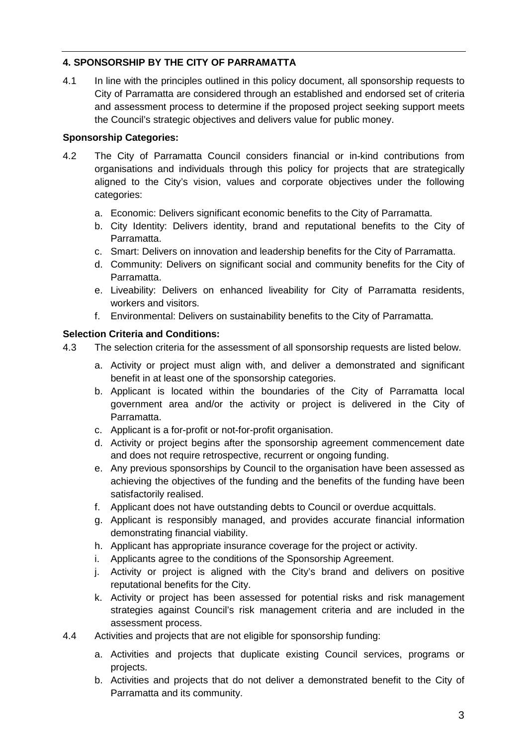# **4. SPONSORSHIP BY THE CITY OF PARRAMATTA**

4.1 In line with the principles outlined in this policy document, all sponsorship requests to City of Parramatta are considered through an established and endorsed set of criteria and assessment process to determine if the proposed project seeking support meets the Council's strategic objectives and delivers value for public money.

## **Sponsorship Categories:**

- 4.2 The City of Parramatta Council considers financial or in-kind contributions from organisations and individuals through this policy for projects that are strategically aligned to the City's vision, values and corporate objectives under the following categories:
	- a. Economic: Delivers significant economic benefits to the City of Parramatta.
	- b. City Identity: Delivers identity, brand and reputational benefits to the City of Parramatta.
	- c. Smart: Delivers on innovation and leadership benefits for the City of Parramatta.
	- d. Community: Delivers on significant social and community benefits for the City of Parramatta.
	- e. Liveability: Delivers on enhanced liveability for City of Parramatta residents, workers and visitors.
	- f. Environmental: Delivers on sustainability benefits to the City of Parramatta.

## **Selection Criteria and Conditions:**

- 4.3 The selection criteria for the assessment of all sponsorship requests are listed below.
	- a. Activity or project must align with, and deliver a demonstrated and significant benefit in at least one of the sponsorship categories.
	- b. Applicant is located within the boundaries of the City of Parramatta local government area and/or the activity or project is delivered in the City of Parramatta.
	- c. Applicant is a for-profit or not-for-profit organisation.
	- d. Activity or project begins after the sponsorship agreement commencement date and does not require retrospective, recurrent or ongoing funding.
	- e. Any previous sponsorships by Council to the organisation have been assessed as achieving the objectives of the funding and the benefits of the funding have been satisfactorily realised.
	- f. Applicant does not have outstanding debts to Council or overdue acquittals.
	- g. Applicant is responsibly managed, and provides accurate financial information demonstrating financial viability.
	- h. Applicant has appropriate insurance coverage for the project or activity.
	- i. Applicants agree to the conditions of the Sponsorship Agreement.
	- j. Activity or project is aligned with the City's brand and delivers on positive reputational benefits for the City.
	- k. Activity or project has been assessed for potential risks and risk management strategies against Council's risk management criteria and are included in the assessment process.
- 4.4 Activities and projects that are not eligible for sponsorship funding:
	- a. Activities and projects that duplicate existing Council services, programs or projects.
	- b. Activities and projects that do not deliver a demonstrated benefit to the City of Parramatta and its community.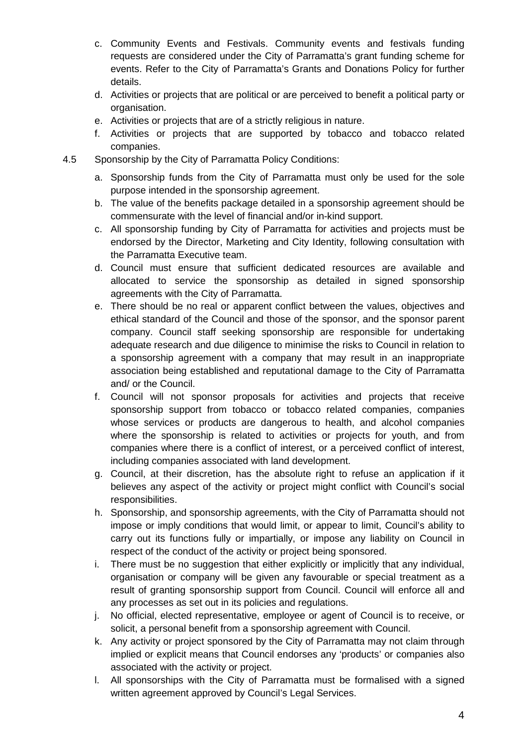- c. Community Events and Festivals. Community events and festivals funding requests are considered under the City of Parramatta's grant funding scheme for events. Refer to the City of Parramatta's Grants and Donations Policy for further details.
- d. Activities or projects that are political or are perceived to benefit a political party or organisation.
- e. Activities or projects that are of a strictly religious in nature.
- f. Activities or projects that are supported by tobacco and tobacco related companies.
- 4.5 Sponsorship by the City of Parramatta Policy Conditions:
	- a. Sponsorship funds from the City of Parramatta must only be used for the sole purpose intended in the sponsorship agreement.
	- b. The value of the benefits package detailed in a sponsorship agreement should be commensurate with the level of financial and/or in-kind support.
	- c. All sponsorship funding by City of Parramatta for activities and projects must be endorsed by the Director, Marketing and City Identity, following consultation with the Parramatta Executive team.
	- d. Council must ensure that sufficient dedicated resources are available and allocated to service the sponsorship as detailed in signed sponsorship agreements with the City of Parramatta.
	- e. There should be no real or apparent conflict between the values, objectives and ethical standard of the Council and those of the sponsor, and the sponsor parent company. Council staff seeking sponsorship are responsible for undertaking adequate research and due diligence to minimise the risks to Council in relation to a sponsorship agreement with a company that may result in an inappropriate association being established and reputational damage to the City of Parramatta and/ or the Council.
	- f. Council will not sponsor proposals for activities and projects that receive sponsorship support from tobacco or tobacco related companies, companies whose services or products are dangerous to health, and alcohol companies where the sponsorship is related to activities or projects for youth, and from companies where there is a conflict of interest, or a perceived conflict of interest, including companies associated with land development.
	- g. Council, at their discretion, has the absolute right to refuse an application if it believes any aspect of the activity or project might conflict with Council's social responsibilities.
	- h. Sponsorship, and sponsorship agreements, with the City of Parramatta should not impose or imply conditions that would limit, or appear to limit, Council's ability to carry out its functions fully or impartially, or impose any liability on Council in respect of the conduct of the activity or project being sponsored.
	- i. There must be no suggestion that either explicitly or implicitly that any individual, organisation or company will be given any favourable or special treatment as a result of granting sponsorship support from Council. Council will enforce all and any processes as set out in its policies and regulations.
	- j. No official, elected representative, employee or agent of Council is to receive, or solicit, a personal benefit from a sponsorship agreement with Council.
	- k. Any activity or project sponsored by the City of Parramatta may not claim through implied or explicit means that Council endorses any 'products' or companies also associated with the activity or project.
	- l. All sponsorships with the City of Parramatta must be formalised with a signed written agreement approved by Council's Legal Services.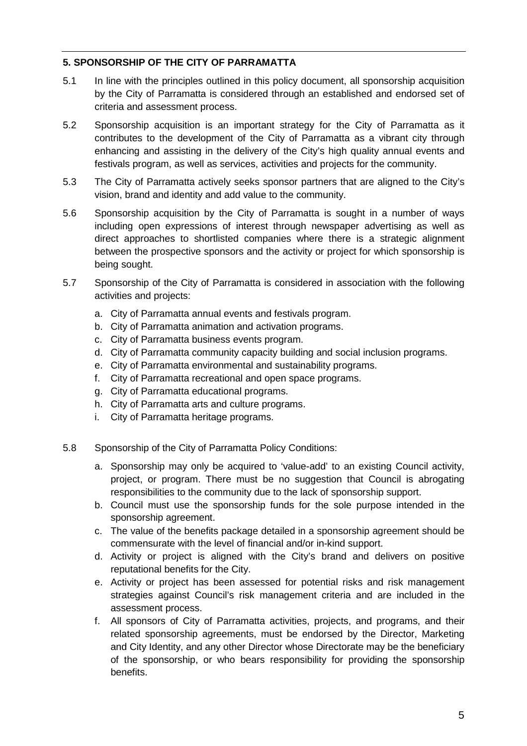## **5. SPONSORSHIP OF THE CITY OF PARRAMATTA**

- 5.1 In line with the principles outlined in this policy document, all sponsorship acquisition by the City of Parramatta is considered through an established and endorsed set of criteria and assessment process.
- 5.2 Sponsorship acquisition is an important strategy for the City of Parramatta as it contributes to the development of the City of Parramatta as a vibrant city through enhancing and assisting in the delivery of the City's high quality annual events and festivals program, as well as services, activities and projects for the community.
- 5.3 The City of Parramatta actively seeks sponsor partners that are aligned to the City's vision, brand and identity and add value to the community.
- 5.6 Sponsorship acquisition by the City of Parramatta is sought in a number of ways including open expressions of interest through newspaper advertising as well as direct approaches to shortlisted companies where there is a strategic alignment between the prospective sponsors and the activity or project for which sponsorship is being sought.
- 5.7 Sponsorship of the City of Parramatta is considered in association with the following activities and projects:
	- a. City of Parramatta annual events and festivals program.
	- b. City of Parramatta animation and activation programs.
	- c. City of Parramatta business events program.
	- d. City of Parramatta community capacity building and social inclusion programs.
	- e. City of Parramatta environmental and sustainability programs.
	- f. City of Parramatta recreational and open space programs.
	- g. City of Parramatta educational programs.
	- h. City of Parramatta arts and culture programs.
	- i. City of Parramatta heritage programs.
- 5.8 Sponsorship of the City of Parramatta Policy Conditions:
	- a. Sponsorship may only be acquired to 'value-add' to an existing Council activity, project, or program. There must be no suggestion that Council is abrogating responsibilities to the community due to the lack of sponsorship support.
	- b. Council must use the sponsorship funds for the sole purpose intended in the sponsorship agreement.
	- c. The value of the benefits package detailed in a sponsorship agreement should be commensurate with the level of financial and/or in-kind support.
	- d. Activity or project is aligned with the City's brand and delivers on positive reputational benefits for the City.
	- e. Activity or project has been assessed for potential risks and risk management strategies against Council's risk management criteria and are included in the assessment process.
	- f. All sponsors of City of Parramatta activities, projects, and programs, and their related sponsorship agreements, must be endorsed by the Director, Marketing and City Identity, and any other Director whose Directorate may be the beneficiary of the sponsorship, or who bears responsibility for providing the sponsorship benefits.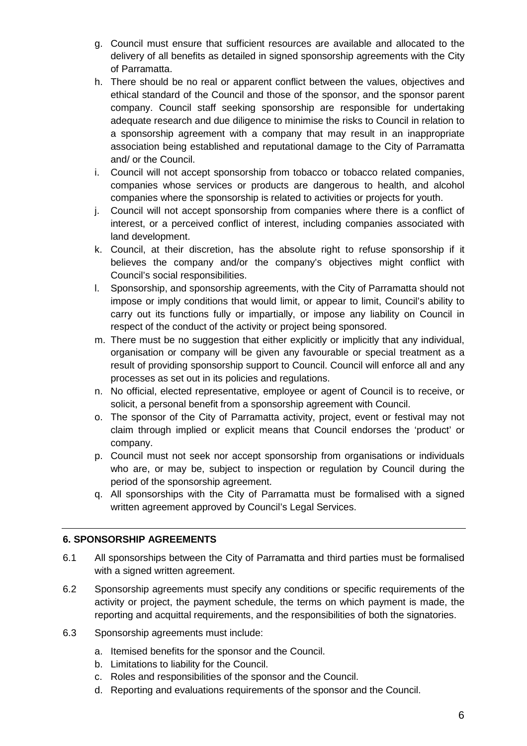- g. Council must ensure that sufficient resources are available and allocated to the delivery of all benefits as detailed in signed sponsorship agreements with the City of Parramatta.
- h. There should be no real or apparent conflict between the values, objectives and ethical standard of the Council and those of the sponsor, and the sponsor parent company. Council staff seeking sponsorship are responsible for undertaking adequate research and due diligence to minimise the risks to Council in relation to a sponsorship agreement with a company that may result in an inappropriate association being established and reputational damage to the City of Parramatta and/ or the Council.
- i. Council will not accept sponsorship from tobacco or tobacco related companies, companies whose services or products are dangerous to health, and alcohol companies where the sponsorship is related to activities or projects for youth.
- j. Council will not accept sponsorship from companies where there is a conflict of interest, or a perceived conflict of interest, including companies associated with land development.
- k. Council, at their discretion, has the absolute right to refuse sponsorship if it believes the company and/or the company's objectives might conflict with Council's social responsibilities.
- l. Sponsorship, and sponsorship agreements, with the City of Parramatta should not impose or imply conditions that would limit, or appear to limit, Council's ability to carry out its functions fully or impartially, or impose any liability on Council in respect of the conduct of the activity or project being sponsored.
- m. There must be no suggestion that either explicitly or implicitly that any individual, organisation or company will be given any favourable or special treatment as a result of providing sponsorship support to Council. Council will enforce all and any processes as set out in its policies and regulations.
- n. No official, elected representative, employee or agent of Council is to receive, or solicit, a personal benefit from a sponsorship agreement with Council.
- o. The sponsor of the City of Parramatta activity, project, event or festival may not claim through implied or explicit means that Council endorses the 'product' or company.
- p. Council must not seek nor accept sponsorship from organisations or individuals who are, or may be, subject to inspection or regulation by Council during the period of the sponsorship agreement.
- q. All sponsorships with the City of Parramatta must be formalised with a signed written agreement approved by Council's Legal Services.

## **6. SPONSORSHIP AGREEMENTS**

- 6.1 All sponsorships between the City of Parramatta and third parties must be formalised with a signed written agreement.
- 6.2 Sponsorship agreements must specify any conditions or specific requirements of the activity or project, the payment schedule, the terms on which payment is made, the reporting and acquittal requirements, and the responsibilities of both the signatories.
- 6.3 Sponsorship agreements must include:
	- a. Itemised benefits for the sponsor and the Council.
	- b. Limitations to liability for the Council.
	- c. Roles and responsibilities of the sponsor and the Council.
	- d. Reporting and evaluations requirements of the sponsor and the Council.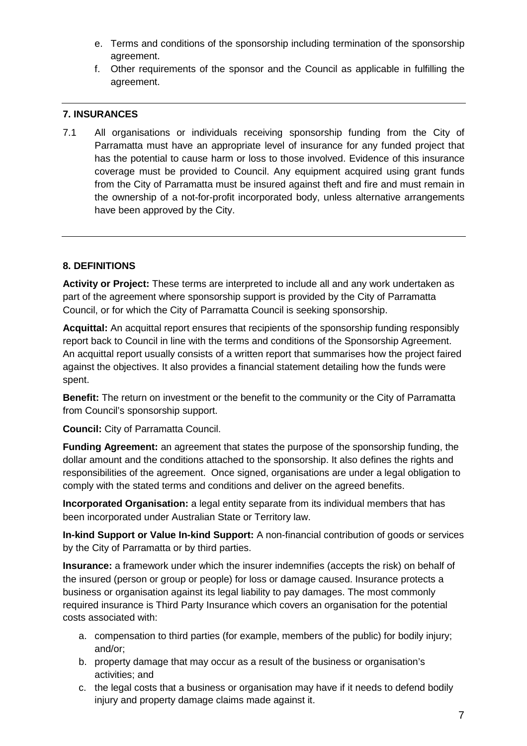- e. Terms and conditions of the sponsorship including termination of the sponsorship agreement.
- f. Other requirements of the sponsor and the Council as applicable in fulfilling the agreement.

## **7. INSURANCES**

7.1 All organisations or individuals receiving sponsorship funding from the City of Parramatta must have an appropriate level of insurance for any funded project that has the potential to cause harm or loss to those involved. Evidence of this insurance coverage must be provided to Council. Any equipment acquired using grant funds from the City of Parramatta must be insured against theft and fire and must remain in the ownership of a not-for-profit incorporated body, unless alternative arrangements have been approved by the City.

## **8. DEFINITIONS**

**Activity or Project:** These terms are interpreted to include all and any work undertaken as part of the agreement where sponsorship support is provided by the City of Parramatta Council, or for which the City of Parramatta Council is seeking sponsorship.

**Acquittal:** An acquittal report ensures that recipients of the sponsorship funding responsibly report back to Council in line with the terms and conditions of the Sponsorship Agreement. An acquittal report usually consists of a written report that summarises how the project faired against the objectives. It also provides a financial statement detailing how the funds were spent.

**Benefit:** The return on investment or the benefit to the community or the City of Parramatta from Council's sponsorship support.

**Council:** City of Parramatta Council.

**Funding Agreement:** an agreement that states the purpose of the sponsorship funding, the dollar amount and the conditions attached to the sponsorship. It also defines the rights and responsibilities of the agreement. Once signed, organisations are under a legal obligation to comply with the stated terms and conditions and deliver on the agreed benefits.

**Incorporated Organisation:** a legal entity separate from its individual members that has been incorporated under Australian State or Territory law.

**In-kind Support or Value In-kind Support:** A non-financial contribution of goods or services by the City of Parramatta or by third parties.

**Insurance:** a framework under which the insurer indemnifies (accepts the risk) on behalf of the insured (person or group or people) for loss or damage caused. Insurance protects a business or organisation against its legal liability to pay damages. The most commonly required insurance is Third Party Insurance which covers an organisation for the potential costs associated with:

- a. compensation to third parties (for example, members of the public) for bodily injury; and/or;
- b. property damage that may occur as a result of the business or organisation's activities; and
- c. the legal costs that a business or organisation may have if it needs to defend bodily injury and property damage claims made against it.